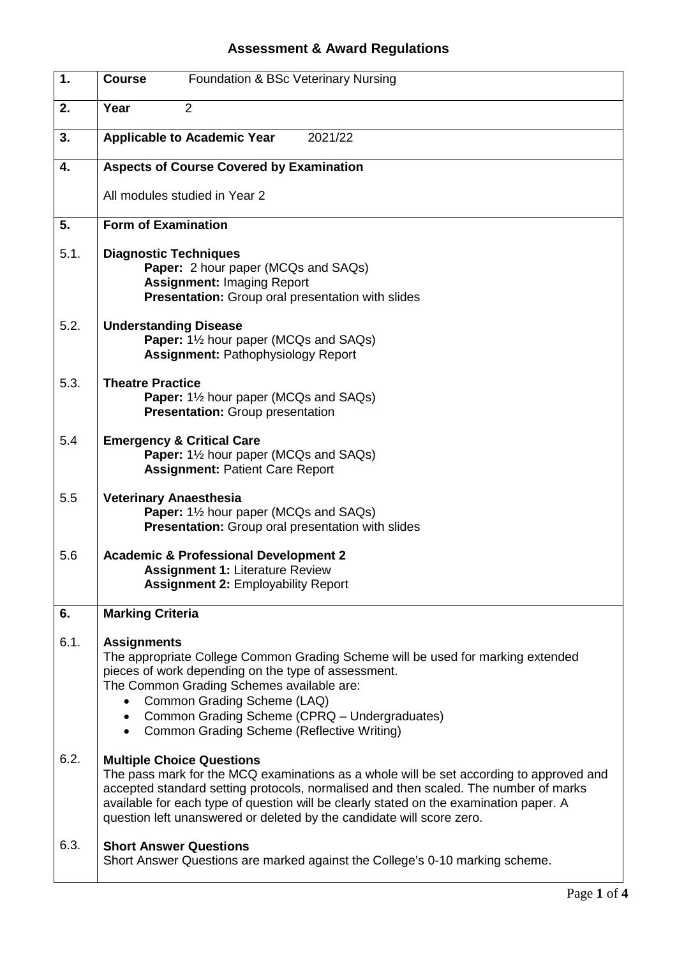## **Assessment & Award Regulations**

| 1.   | Foundation & BSc Veterinary Nursing<br><b>Course</b>                                                                                                                                                                                                                                                                                                                                   |
|------|----------------------------------------------------------------------------------------------------------------------------------------------------------------------------------------------------------------------------------------------------------------------------------------------------------------------------------------------------------------------------------------|
| 2.   | Year<br>$\overline{2}$                                                                                                                                                                                                                                                                                                                                                                 |
| 3.   | <b>Applicable to Academic Year</b><br>2021/22                                                                                                                                                                                                                                                                                                                                          |
| 4.   | <b>Aspects of Course Covered by Examination</b>                                                                                                                                                                                                                                                                                                                                        |
|      | All modules studied in Year 2                                                                                                                                                                                                                                                                                                                                                          |
| 5.   | <b>Form of Examination</b>                                                                                                                                                                                                                                                                                                                                                             |
| 5.1. | <b>Diagnostic Techniques</b><br>Paper: 2 hour paper (MCQs and SAQs)<br><b>Assignment: Imaging Report</b><br><b>Presentation:</b> Group oral presentation with slides                                                                                                                                                                                                                   |
| 5.2. | <b>Understanding Disease</b><br>Paper: 11/2 hour paper (MCQs and SAQs)<br><b>Assignment: Pathophysiology Report</b>                                                                                                                                                                                                                                                                    |
| 5.3. | <b>Theatre Practice</b><br><b>Paper:</b> 1½ hour paper (MCQs and SAQs)<br><b>Presentation:</b> Group presentation                                                                                                                                                                                                                                                                      |
| 5.4  | <b>Emergency &amp; Critical Care</b><br><b>Paper:</b> 1 <sup>1</sup> / <sub>2</sub> hour paper (MCQs and SAQs)<br><b>Assignment: Patient Care Report</b>                                                                                                                                                                                                                               |
| 5.5  | <b>Veterinary Anaesthesia</b><br>Paper: 11/2 hour paper (MCQs and SAQs)<br><b>Presentation:</b> Group oral presentation with slides                                                                                                                                                                                                                                                    |
| 5.6  | <b>Academic &amp; Professional Development 2</b><br><b>Assignment 1: Literature Review</b><br><b>Assignment 2: Employability Report</b>                                                                                                                                                                                                                                                |
| 6.   | <b>Marking Criteria</b>                                                                                                                                                                                                                                                                                                                                                                |
| 6.1. | <b>Assignments</b><br>The appropriate College Common Grading Scheme will be used for marking extended<br>pieces of work depending on the type of assessment.<br>The Common Grading Schemes available are:<br>Common Grading Scheme (LAQ)<br>Common Grading Scheme (CPRQ - Undergraduates)<br>Common Grading Scheme (Reflective Writing)                                                |
| 6.2. | <b>Multiple Choice Questions</b><br>The pass mark for the MCQ examinations as a whole will be set according to approved and<br>accepted standard setting protocols, normalised and then scaled. The number of marks<br>available for each type of question will be clearly stated on the examination paper. A<br>question left unanswered or deleted by the candidate will score zero. |
| 6.3. | <b>Short Answer Questions</b><br>Short Answer Questions are marked against the College's 0-10 marking scheme.                                                                                                                                                                                                                                                                          |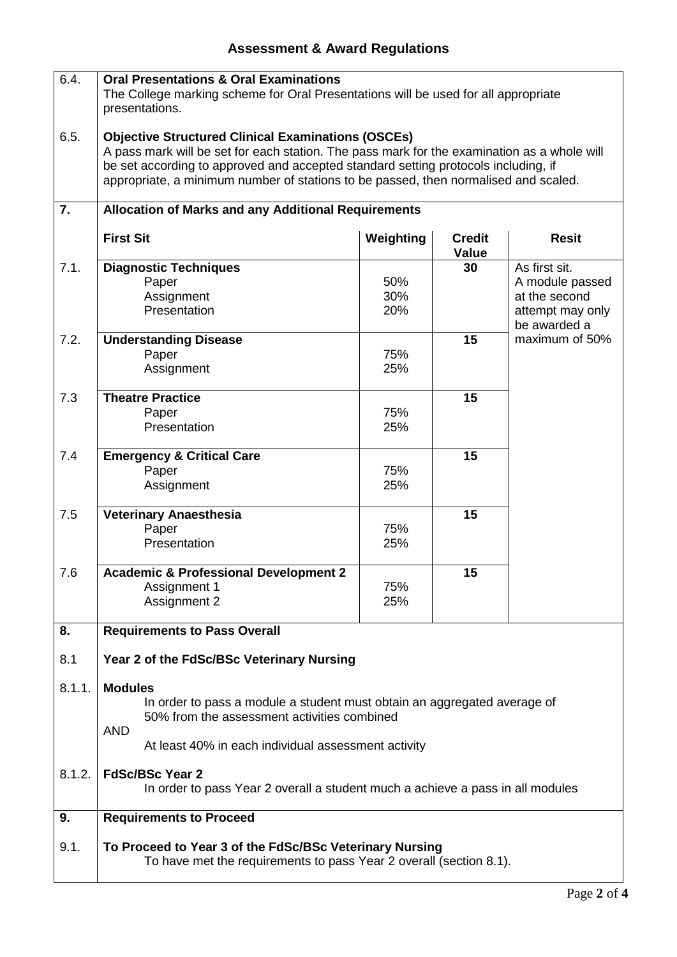| 6.4.   | <b>Oral Presentations &amp; Oral Examinations</b><br>The College marking scheme for Oral Presentations will be used for all appropriate<br>presentations.                                                                                                                                                                             |                   |                               |                                                                                       |  |
|--------|---------------------------------------------------------------------------------------------------------------------------------------------------------------------------------------------------------------------------------------------------------------------------------------------------------------------------------------|-------------------|-------------------------------|---------------------------------------------------------------------------------------|--|
| 6.5.   | <b>Objective Structured Clinical Examinations (OSCEs)</b><br>A pass mark will be set for each station. The pass mark for the examination as a whole will<br>be set according to approved and accepted standard setting protocols including, if<br>appropriate, a minimum number of stations to be passed, then normalised and scaled. |                   |                               |                                                                                       |  |
| 7.     | <b>Allocation of Marks and any Additional Requirements</b>                                                                                                                                                                                                                                                                            |                   |                               |                                                                                       |  |
|        | <b>First Sit</b>                                                                                                                                                                                                                                                                                                                      | Weighting         | <b>Credit</b><br><b>Value</b> | <b>Resit</b>                                                                          |  |
| 7.1.   | <b>Diagnostic Techniques</b><br>Paper<br>Assignment<br>Presentation                                                                                                                                                                                                                                                                   | 50%<br>30%<br>20% | 30                            | As first sit.<br>A module passed<br>at the second<br>attempt may only<br>be awarded a |  |
| 7.2.   | <b>Understanding Disease</b><br>Paper<br>Assignment                                                                                                                                                                                                                                                                                   | 75%<br>25%        | 15                            | maximum of 50%                                                                        |  |
| 7.3    | <b>Theatre Practice</b><br>Paper<br>Presentation                                                                                                                                                                                                                                                                                      | 75%<br>25%        | 15                            |                                                                                       |  |
| 7.4    | <b>Emergency &amp; Critical Care</b><br>Paper<br>Assignment                                                                                                                                                                                                                                                                           | 75%<br>25%        | 15                            |                                                                                       |  |
| 7.5    | <b>Veterinary Anaesthesia</b><br>Paper<br>Presentation                                                                                                                                                                                                                                                                                | 75%<br>25%        | 15                            |                                                                                       |  |
| 7.6    | <b>Academic &amp; Professional Development 2</b><br>Assignment 1<br>Assignment 2                                                                                                                                                                                                                                                      | 75%<br>25%        | 15                            |                                                                                       |  |
| 8.     | <b>Requirements to Pass Overall</b>                                                                                                                                                                                                                                                                                                   |                   |                               |                                                                                       |  |
| 8.1    | Year 2 of the FdSc/BSc Veterinary Nursing                                                                                                                                                                                                                                                                                             |                   |                               |                                                                                       |  |
| 8.1.1. | <b>Modules</b><br>In order to pass a module a student must obtain an aggregated average of<br>50% from the assessment activities combined<br><b>AND</b>                                                                                                                                                                               |                   |                               |                                                                                       |  |
|        | At least 40% in each individual assessment activity                                                                                                                                                                                                                                                                                   |                   |                               |                                                                                       |  |
| 8.1.2. | <b>FdSc/BSc Year 2</b><br>In order to pass Year 2 overall a student much a achieve a pass in all modules                                                                                                                                                                                                                              |                   |                               |                                                                                       |  |
| 9.     | <b>Requirements to Proceed</b>                                                                                                                                                                                                                                                                                                        |                   |                               |                                                                                       |  |
| 9.1.   | To Proceed to Year 3 of the FdSc/BSc Veterinary Nursing<br>To have met the requirements to pass Year 2 overall (section 8.1).                                                                                                                                                                                                         |                   |                               |                                                                                       |  |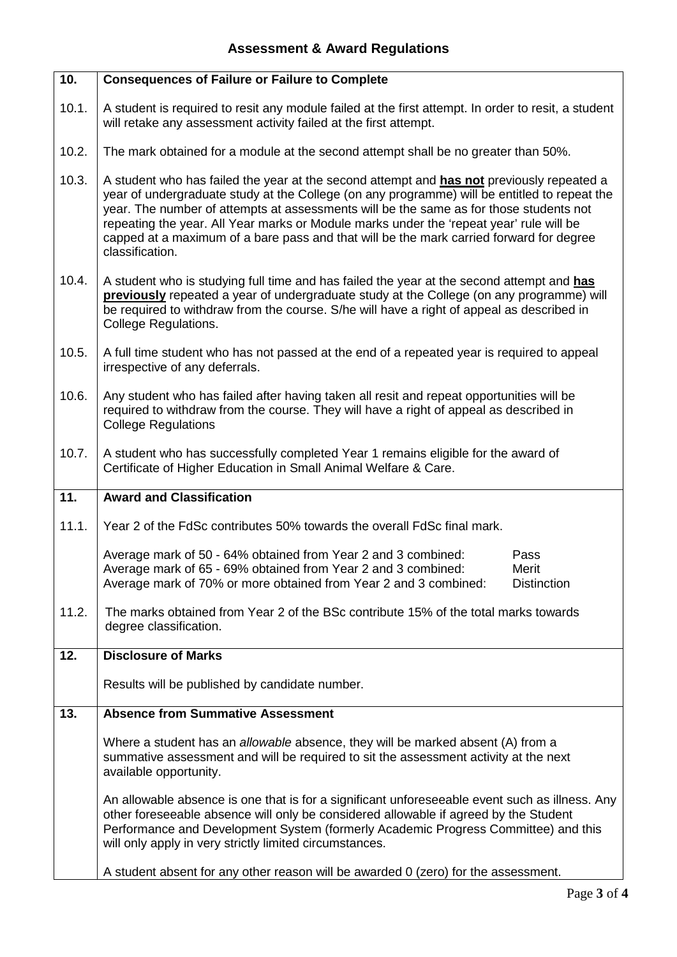| 10.   | <b>Consequences of Failure or Failure to Complete</b>                                                                                                                                                                                                                                                                                                                                                                                                                                        |  |  |  |  |
|-------|----------------------------------------------------------------------------------------------------------------------------------------------------------------------------------------------------------------------------------------------------------------------------------------------------------------------------------------------------------------------------------------------------------------------------------------------------------------------------------------------|--|--|--|--|
| 10.1. | A student is required to resit any module failed at the first attempt. In order to resit, a student<br>will retake any assessment activity failed at the first attempt.                                                                                                                                                                                                                                                                                                                      |  |  |  |  |
| 10.2. | The mark obtained for a module at the second attempt shall be no greater than 50%.                                                                                                                                                                                                                                                                                                                                                                                                           |  |  |  |  |
| 10.3. | A student who has failed the year at the second attempt and has not previously repeated a<br>year of undergraduate study at the College (on any programme) will be entitled to repeat the<br>year. The number of attempts at assessments will be the same as for those students not<br>repeating the year. All Year marks or Module marks under the 'repeat year' rule will be<br>capped at a maximum of a bare pass and that will be the mark carried forward for degree<br>classification. |  |  |  |  |
| 10.4. | A student who is studying full time and has failed the year at the second attempt and has<br>previously repeated a year of undergraduate study at the College (on any programme) will<br>be required to withdraw from the course. S/he will have a right of appeal as described in<br><b>College Regulations.</b>                                                                                                                                                                            |  |  |  |  |
| 10.5. | A full time student who has not passed at the end of a repeated year is required to appeal<br>irrespective of any deferrals.                                                                                                                                                                                                                                                                                                                                                                 |  |  |  |  |
| 10.6. | Any student who has failed after having taken all resit and repeat opportunities will be<br>required to withdraw from the course. They will have a right of appeal as described in<br><b>College Regulations</b>                                                                                                                                                                                                                                                                             |  |  |  |  |
| 10.7. | A student who has successfully completed Year 1 remains eligible for the award of<br>Certificate of Higher Education in Small Animal Welfare & Care.                                                                                                                                                                                                                                                                                                                                         |  |  |  |  |
| 11.   | <b>Award and Classification</b>                                                                                                                                                                                                                                                                                                                                                                                                                                                              |  |  |  |  |
| 11.1. | Year 2 of the FdSc contributes 50% towards the overall FdSc final mark.                                                                                                                                                                                                                                                                                                                                                                                                                      |  |  |  |  |
|       | Average mark of 50 - 64% obtained from Year 2 and 3 combined:<br>Pass<br>Average mark of 65 - 69% obtained from Year 2 and 3 combined:<br>Merit<br>Average mark of 70% or more obtained from Year 2 and 3 combined:<br><b>Distinction</b>                                                                                                                                                                                                                                                    |  |  |  |  |
| 11.2. | The marks obtained from Year 2 of the BSc contribute 15% of the total marks towards<br>degree classification.                                                                                                                                                                                                                                                                                                                                                                                |  |  |  |  |
| 12.   | <b>Disclosure of Marks</b>                                                                                                                                                                                                                                                                                                                                                                                                                                                                   |  |  |  |  |
|       | Results will be published by candidate number.                                                                                                                                                                                                                                                                                                                                                                                                                                               |  |  |  |  |
| 13.   | <b>Absence from Summative Assessment</b>                                                                                                                                                                                                                                                                                                                                                                                                                                                     |  |  |  |  |
|       | Where a student has an allowable absence, they will be marked absent (A) from a<br>summative assessment and will be required to sit the assessment activity at the next<br>available opportunity.                                                                                                                                                                                                                                                                                            |  |  |  |  |
|       | An allowable absence is one that is for a significant unforeseeable event such as illness. Any<br>other foreseeable absence will only be considered allowable if agreed by the Student<br>Performance and Development System (formerly Academic Progress Committee) and this<br>will only apply in very strictly limited circumstances.                                                                                                                                                      |  |  |  |  |
|       | A student absent for any other reason will be awarded 0 (zero) for the assessment.                                                                                                                                                                                                                                                                                                                                                                                                           |  |  |  |  |